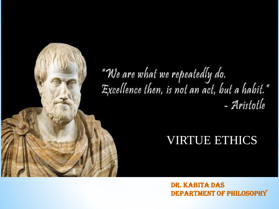# "We are what we repeatedly do.<br>Excellence then, is not an act, but a habit." - Aristotle

## VIRTUE ETHICS

Dr. Kabita Das DEPARTMENT OF PHILOSOPHY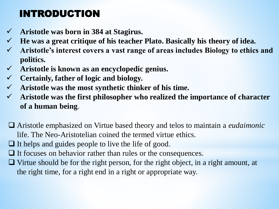## INTRODUCTION

- **Aristotle was born in 384 at Stagirus.**
- **He was a great critique of his teacher Plato. Basically his theory of idea.**
- **Aristotle's interest covers a vast range of areas includes Biology to ethics and politics.**
- **Aristotle is known as an encyclopedic genius.**
- **Certainly, father of logic and biology.**
- **Aristotle was the most synthetic thinker of his time.**
- **Aristotle was the first philosopher who realized the importance of character of a human being**.
- Aristotle emphasized on Virtue based theory and telos to maintain a *eudaimonic* life. The Neo-Aristotelian coined the termed virtue ethics.
- $\Box$  It helps and guides people to live the life of good.
- $\Box$  It focuses on behavior rather than rules or the consequences.
- $\Box$  Virtue should be for the right person, for the right object, in a right amount, at the right time, for a right end in a right or appropriate way.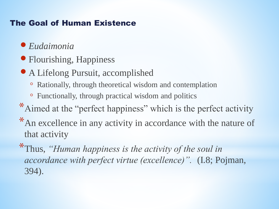### The Goal of Human Existence

## *Eudaimonia*

- Flourishing, Happiness
- A Lifelong Pursuit, accomplished
	- Rationally, through theoretical wisdom and contemplation
	- Functionally, through practical wisdom and politics
- \*Aimed at the "perfect happiness" which is the perfect activity
- \*An excellence in any activity in accordance with the nature of that activity
- \*Thus, *"Human happiness is the activity of the soul in accordance with perfect virtue (excellence)".* (I.8; Pojman, 394).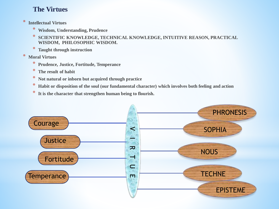#### **The Virtues**

- \* **Intellectual Virtues**
	- \* **Wisdom, Understanding, Prudence**
	- \* **SCIENTIFIC KNOWLEDGE, TECHNICAL KNOWLEDGE, INTUITIVE REASON, PRACTICAL WISDOM, PHILOSOPHIC WISDOM.**
	- \* **Taught through instruction**
- \* **Moral Virtues**
	- \* **Prudence, Justice, Fortitude, Temperance**
	- \* **The result of habit**
	- \* **Not natural or inborn but acquired through practice**
	- \* **Habit or disposition of the soul (our fundamental character) which involves both feeling and action**
	- It is the character that strengthen human being to flourish.

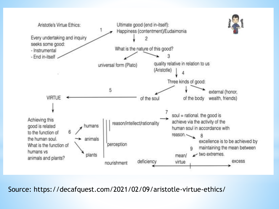

Source: https://decafquest.com/2021/02/09/aristotle-virtue-ethics/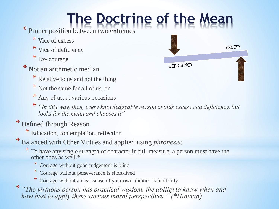# **The Doctrine of the Mean**

\* Proper position between two extremes

- \* Vice of excess
- \* Vice of deficiency
- \* Ex- courage
- \* Not an arithmetic median
	- $*$  Relative to <u>us</u> and not the thing
	- \* Not the same for all of us, or
	- \* Any of us, at various occasions
	- \* *"In this way, then, every knowledgeable person avoids excess and deficiency, but looks for the mean and chooses it"*
- \* Defined through Reason
	- \* Education, contemplation, reflection
- \* Balanced with Other Virtues and applied using *phronesis:*
	- \* To have any single strength of character in full measure, a person must have the other ones as well.\*
		- \* Courage without good judgement is blind
		- \* Courage without perseverance is short-lived
		- \* Courage without a clear sense of your own abilities is foolhardy
- \* *"The virtuous person has practical wisdom, the ability to know when and how best to apply these various moral perspectives." (\*Hinman)*

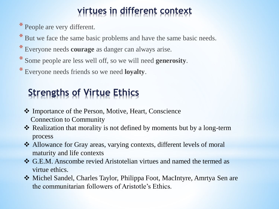## **virtues in different context**

\* People are very different.

\* But we face the same basic problems and have the same basic needs.

- \* Everyone needs **courage** as danger can always arise.
- \* Some people are less well off, so we will need **generosity**.
- \* Everyone needs friends so we need **loyalty**.

# **Strengths of Virtue Ethics**

- Importance of the Person, Motive, Heart, Conscience Connection to Community
- **\*** Realization that morality is not defined by moments but by a long-term process
- ◆ Allowance for Gray areas, varying contexts, different levels of moral maturity and life contexts
- G.E.M. Anscombe revied Aristotelian virtues and named the termed as virtue ethics.
- Michel Sandel, Charles Taylor, Philippa Foot, MacIntyre, Amrtya Sen are the communitarian followers of Aristotle's Ethics.